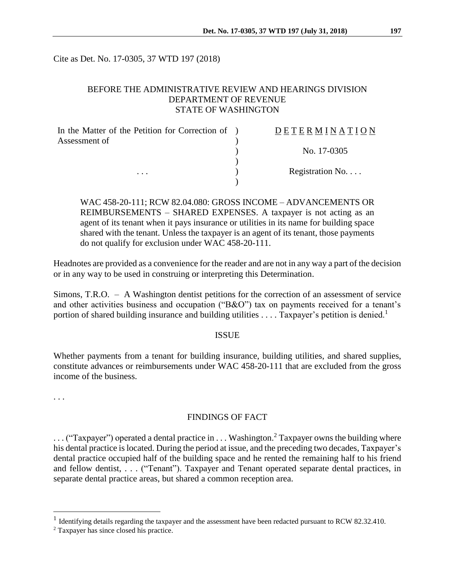Cite as Det. No. 17-0305, 37 WTD 197 (2018)

### BEFORE THE ADMINISTRATIVE REVIEW AND HEARINGS DIVISION DEPARTMENT OF REVENUE STATE OF WASHINGTON

| In the Matter of the Petition for Correction of ) | DETERMINATION   |
|---------------------------------------------------|-----------------|
| Assessment of                                     |                 |
|                                                   | No. 17-0305     |
|                                                   |                 |
| $\cdots$                                          | Registration No |
|                                                   |                 |

WAC 458-20-111; RCW 82.04.080: GROSS INCOME – ADVANCEMENTS OR REIMBURSEMENTS – SHARED EXPENSES. A taxpayer is not acting as an agent of its tenant when it pays insurance or utilities in its name for building space shared with the tenant. Unless the taxpayer is an agent of its tenant, those payments do not qualify for exclusion under WAC 458-20-111.

Headnotes are provided as a convenience for the reader and are not in any way a part of the decision or in any way to be used in construing or interpreting this Determination.

Simons, T.R.O. – A Washington dentist petitions for the correction of an assessment of service and other activities business and occupation ("B&O") tax on payments received for a tenant's portion of shared building insurance and building utilities  $\ldots$ . Taxpayer's petition is denied.<sup>1</sup>

#### ISSUE

Whether payments from a tenant for building insurance, building utilities, and shared supplies, constitute advances or reimbursements under WAC 458-20-111 that are excluded from the gross income of the business.

. . .

 $\overline{a}$ 

#### FINDINGS OF FACT

 $\ldots$  ("Taxpayer") operated a dental practice in  $\ldots$  Washington.<sup>2</sup> Taxpayer owns the building where his dental practice is located. During the period at issue, and the preceding two decades, Taxpayer's dental practice occupied half of the building space and he rented the remaining half to his friend and fellow dentist, . . . ("Tenant"). Taxpayer and Tenant operated separate dental practices, in separate dental practice areas, but shared a common reception area.

<sup>&</sup>lt;sup>1</sup> Identifying details regarding the taxpayer and the assessment have been redacted pursuant to RCW 82.32.410.

<sup>2</sup> Taxpayer has since closed his practice.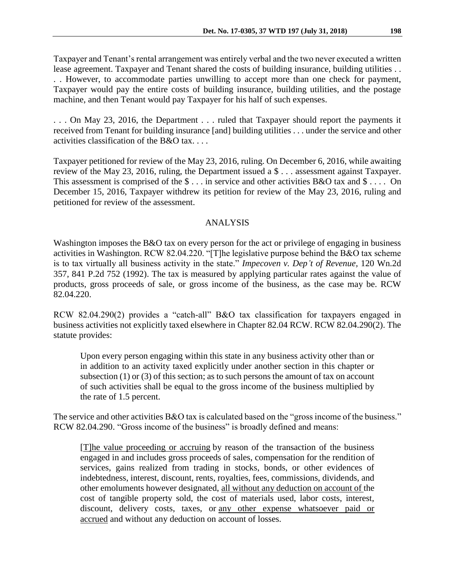Taxpayer and Tenant's rental arrangement was entirely verbal and the two never executed a written lease agreement. Taxpayer and Tenant shared the costs of building insurance, building utilities . . . . However, to accommodate parties unwilling to accept more than one check for payment, Taxpayer would pay the entire costs of building insurance, building utilities, and the postage machine, and then Tenant would pay Taxpayer for his half of such expenses.

. . . On May 23, 2016, the Department . . . ruled that Taxpayer should report the payments it received from Tenant for building insurance [and] building utilities . . . under the service and other activities classification of the B&O tax. . . .

Taxpayer petitioned for review of the May 23, 2016, ruling. On December 6, 2016, while awaiting review of the May 23, 2016, ruling, the Department issued a \$ . . . assessment against Taxpayer. This assessment is comprised of the  $\frac{1}{2}$ ... in service and other activities B&O tax and  $\frac{1}{2}$ ... On December 15, 2016, Taxpayer withdrew its petition for review of the May 23, 2016, ruling and petitioned for review of the assessment.

## ANALYSIS

Washington imposes the B&O tax on every person for the act or privilege of engaging in business activities in Washington. RCW 82.04.220. "[T]he legislative purpose behind the B&O tax scheme is to tax virtually all business activity in the state." *Impecoven v. Dep't of Revenue,* 120 Wn.2d 357, 841 P.2d 752 (1992). The tax is measured by applying particular rates against the value of products, gross proceeds of sale, or gross income of the business, as the case may be. RCW 82.04.220.

RCW 82.04.290(2) provides a "catch-all" B&O tax classification for taxpayers engaged in business activities not explicitly taxed elsewhere in Chapter 82.04 RCW. RCW 82.04.290(2). The statute provides:

Upon every person engaging within this state in any business activity other than or in addition to an activity taxed explicitly under another section in this chapter or subsection (1) or (3) of this section; as to such persons the amount of tax on account of such activities shall be equal to the gross income of the business multiplied by the rate of 1.5 percent.

The service and other activities B&O tax is calculated based on the "gross income of the business." RCW 82.04.290. "Gross income of the business" is broadly defined and means:

[T]he value proceeding or accruing by reason of the transaction of the business engaged in and includes gross proceeds of sales, compensation for the rendition of services, gains realized from trading in stocks, bonds, or other evidences of indebtedness, interest, discount, rents, royalties, fees, commissions, dividends, and other emoluments however designated, all without any deduction on account of the cost of tangible property sold, the cost of materials used, labor costs, interest, discount, delivery costs, taxes, or any other expense whatsoever paid or accrued and without any deduction on account of losses.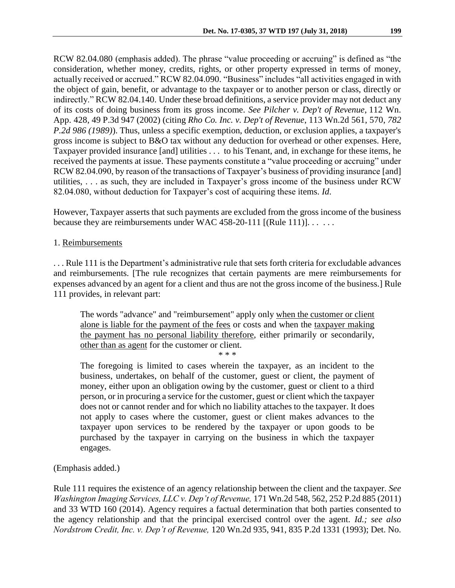RCW 82.04.080 (emphasis added). The phrase "value proceeding or accruing" is defined as "the consideration, whether money, credits, rights, or other property expressed in terms of money, actually received or accrued." RCW 82.04.090. "Business" includes "all activities engaged in with the object of gain, benefit, or advantage to the taxpayer or to another person or class, directly or indirectly." RCW 82.04.140. Under these broad definitions, a service provider may not deduct any of its costs of doing business from its gross income. *See Pilcher v. Dep't of Revenue*, 112 Wn. App. 428, 49 P.3d 947 (2002) (citing *Rho Co. Inc. v. Dep't of Revenue*, 113 Wn.2d 561, 570, *782 P.2d 986 (1989)*). Thus, unless a specific exemption, deduction, or exclusion applies, a taxpayer's gross income is subject to B&O tax without any deduction for overhead or other expenses. Here, Taxpayer provided insurance [and] utilities . . . to his Tenant, and, in exchange for these items, he received the payments at issue. These payments constitute a "value proceeding or accruing" under RCW 82.04.090, by reason of the transactions of Taxpayer's business of providing insurance [and] utilities, . . . as such, they are included in Taxpayer's gross income of the business under RCW 82.04.080, without deduction for Taxpayer's cost of acquiring these items. *Id*.

However, Taxpayer asserts that such payments are excluded from the gross income of the business because they are reimbursements under WAC 458-20-111 [(Rule 111)].  $\dots$ 

## 1. Reimbursements

. . . Rule 111 is the Department's administrative rule that sets forth criteria for excludable advances and reimbursements. [The rule recognizes that certain payments are mere reimbursements for expenses advanced by an agent for a client and thus are not the gross income of the business.] Rule 111 provides, in relevant part:

The words "advance" and "reimbursement" apply only when the customer or client alone is liable for the payment of the fees or costs and when the taxpayer making the payment has no personal liability therefore, either primarily or secondarily, other than as agent for the customer or client.

\* \* \*

The foregoing is limited to cases wherein the taxpayer, as an incident to the business, undertakes, on behalf of the customer, guest or client, the payment of money, either upon an obligation owing by the customer, guest or client to a third person, or in procuring a service for the customer, guest or client which the taxpayer does not or cannot render and for which no liability attaches to the taxpayer. It does not apply to cases where the customer, guest or client makes advances to the taxpayer upon services to be rendered by the taxpayer or upon goods to be purchased by the taxpayer in carrying on the business in which the taxpayer engages.

## (Emphasis added.)

Rule 111 requires the existence of an agency relationship between the client and the taxpayer. *See Washington Imaging Services, LLC v. Dep't of Revenue,* 171 Wn.2d 548, 562, 252 P.2d 885 (2011) and 33 WTD 160 (2014). Agency requires a factual determination that both parties consented to the agency relationship and that the principal exercised control over the agent. *Id.; see also Nordstrom Credit, Inc. v. Dep't of Revenue,* 120 Wn.2d 935, 941, 835 P.2d 1331 (1993); Det. No.